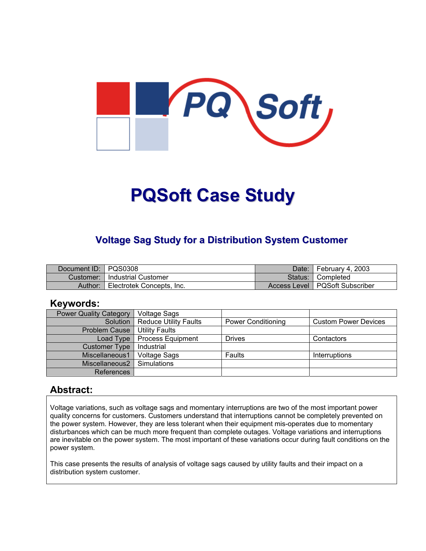

# **PQSoft Case Study**

## **Voltage Sag Study for a Distribution System Customer**

| Document ID: PQS0308 |                           | Date: I | February 4, 2003                 |
|----------------------|---------------------------|---------|----------------------------------|
| Customer:            | l Industrial Customer     |         | Status: Completed                |
| Author:              | Electrotek Concepts, Inc. |         | Access Level   PQSoft Subscriber |

### **Keywords:**

| <b>Power Quality Category</b> | <b>Voltage Sags</b>          |                           |                             |
|-------------------------------|------------------------------|---------------------------|-----------------------------|
| Solution                      | <b>Reduce Utility Faults</b> | <b>Power Conditioning</b> | <b>Custom Power Devices</b> |
| <b>Problem Cause</b>          | <b>Utility Faults</b>        |                           |                             |
| Load Type                     | <b>Process Equipment</b>     | <b>Drives</b>             | Contactors                  |
| <b>Customer Type</b>          | Industrial                   |                           |                             |
| Miscellaneous1                | <b>Voltage Sags</b>          | Faults                    | <b>Interruptions</b>        |
| Miscellaneous2                | Simulations                  |                           |                             |
| References                    |                              |                           |                             |

## **Abstract:**

Voltage variations, such as voltage sags and momentary interruptions are two of the most important power quality concerns for customers. Customers understand that interruptions cannot be completely prevented on the power system. However, they are less tolerant when their equipment mis-operates due to momentary disturbances which can be much more frequent than complete outages. Voltage variations and interruptions are inevitable on the power system. The most important of these variations occur during fault conditions on the power system.

This case presents the results of analysis of voltage sags caused by utility faults and their impact on a distribution system customer.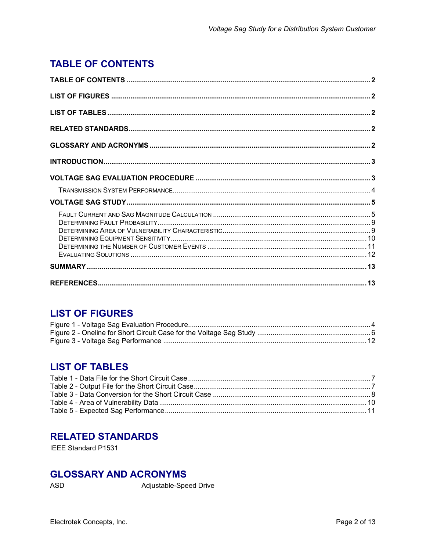# <span id="page-1-0"></span>**TABLE OF CONTENTS**

# **LIST OF FIGURES**

## **LIST OF TABLES**

## **RELATED STANDARDS**

IEEE Standard P1531

# **GLOSSARY AND ACRONYMS**

ASD

Adjustable-Speed Drive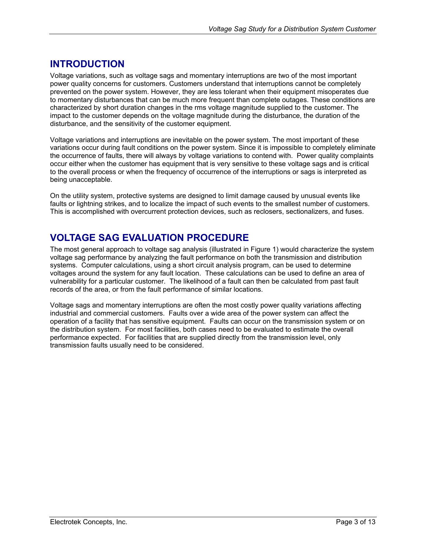# <span id="page-2-0"></span>**INTRODUCTION**

Voltage variations, such as voltage sags and momentary interruptions are two of the most important power quality concerns for customers. Customers understand that interruptions cannot be completely prevented on the power system. However, they are less tolerant when their equipment misoperates due to momentary disturbances that can be much more frequent than complete outages. These conditions are characterized by short duration changes in the rms voltage magnitude supplied to the customer. The impact to the customer depends on the voltage magnitude during the disturbance, the duration of the disturbance, and the sensitivity of the customer equipment.

Voltage variations and interruptions are inevitable on the power system. The most important of these variations occur during fault conditions on the power system. Since it is impossible to completely eliminate the occurrence of faults, there will always by voltage variations to contend with. Power quality complaints occur either when the customer has equipment that is very sensitive to these voltage sags and is critical to the overall process or when the frequency of occurrence of the interruptions or sags is interpreted as being unacceptable.

On the utility system, protective systems are designed to limit damage caused by unusual events like faults or lightning strikes, and to localize the impact of such events to the smallest number of customers. This is accomplished with overcurrent protection devices, such as reclosers, sectionalizers, and fuses.

# **VOLTAGE SAG EVALUATION PROCEDURE**

The most general approach to voltage sag analysis (illustrated in [Figure 1](#page-3-1)) would characterize the system voltage sag performance by analyzing the fault performance on both the transmission and distribution systems. Computer calculations, using a short circuit analysis program, can be used to determine voltages around the system for any fault location. These calculations can be used to define an area of vulnerability for a particular customer. The likelihood of a fault can then be calculated from past fault records of the area, or from the fault performance of similar locations.

Voltage sags and momentary interruptions are often the most costly power quality variations affecting industrial and commercial customers. Faults over a wide area of the power system can affect the operation of a facility that has sensitive equipment. Faults can occur on the transmission system or on the distribution system. For most facilities, both cases need to be evaluated to estimate the overall performance expected. For facilities that are supplied directly from the transmission level, only transmission faults usually need to be considered.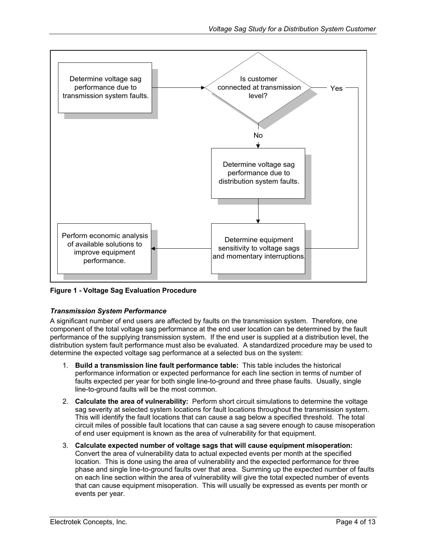<span id="page-3-1"></span><span id="page-3-0"></span>

**Figure 1 - Voltage Sag Evaluation Procedure** 

#### *Transmission System Performance*

A significant number of end users are affected by faults on the transmission system. Therefore, one component of the total voltage sag performance at the end user location can be determined by the fault performance of the supplying transmission system. If the end user is supplied at a distribution level, the distribution system fault performance must also be evaluated. A standardized procedure may be used to determine the expected voltage sag performance at a selected bus on the system:

- 1. **Build a transmission line fault performance table:** This table includes the historical performance information or expected performance for each line section in terms of number of faults expected per year for both single line-to-ground and three phase faults. Usually, single line-to-ground faults will be the most common.
- 2. **Calculate the area of vulnerability:** Perform short circuit simulations to determine the voltage sag severity at selected system locations for fault locations throughout the transmission system. This will identify the fault locations that can cause a sag below a specified threshold. The total circuit miles of possible fault locations that can cause a sag severe enough to cause misoperation of end user equipment is known as the area of vulnerability for that equipment.
- 3. **Calculate expected number of voltage sags that will cause equipment misoperation:** Convert the area of vulnerability data to actual expected events per month at the specified location. This is done using the area of vulnerability and the expected performance for three phase and single line-to-ground faults over that area. Summing up the expected number of faults on each line section within the area of vulnerability will give the total expected number of events that can cause equipment misoperation. This will usually be expressed as events per month or events per year.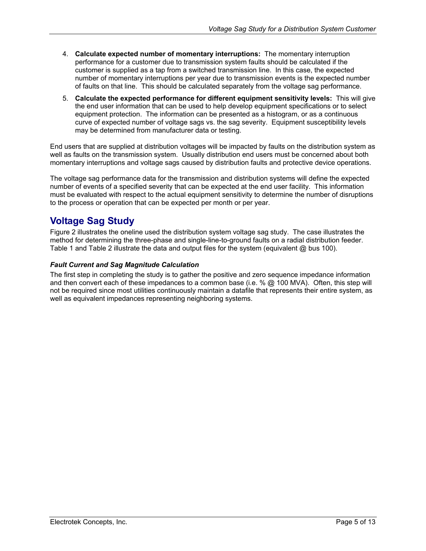- <span id="page-4-0"></span>4. **Calculate expected number of momentary interruptions:** The momentary interruption performance for a customer due to transmission system faults should be calculated if the customer is supplied as a tap from a switched transmission line. In this case, the expected number of momentary interruptions per year due to transmission events is the expected number of faults on that line. This should be calculated separately from the voltage sag performance.
- 5. **Calculate the expected performance for different equipment sensitivity levels:** This will give the end user information that can be used to help develop equipment specifications or to select equipment protection. The information can be presented as a histogram, or as a continuous curve of expected number of voltage sags vs. the sag severity. Equipment susceptibility levels may be determined from manufacturer data or testing.

End users that are supplied at distribution voltages will be impacted by faults on the distribution system as well as faults on the transmission system. Usually distribution end users must be concerned about both momentary interruptions and voltage sags caused by distribution faults and protective device operations.

The voltage sag performance data for the transmission and distribution systems will define the expected number of events of a specified severity that can be expected at the end user facility. This information must be evaluated with respect to the actual equipment sensitivity to determine the number of disruptions to the process or operation that can be expected per month or per year.

# **Voltage Sag Study**

[Figure](#page-5-1) 2 illustrates the oneline used the distribution system voltage sag study. The case illustrates the method for determining the three-phase and single-line-to-ground faults on a radial distribution feeder. [Table](#page-6-1) 1 and [Table](#page-6-2) 2 illustrate the data and output files for the system (equivalent @ bus 100).

#### *Fault Current and Sag Magnitude Calculation*

The first step in completing the study is to gather the positive and zero sequence impedance information and then convert each of these impedances to a common base (i.e. % @ 100 MVA). Often, this step will not be required since most utilities continuously maintain a datafile that represents their entire system, as well as equivalent impedances representing neighboring systems.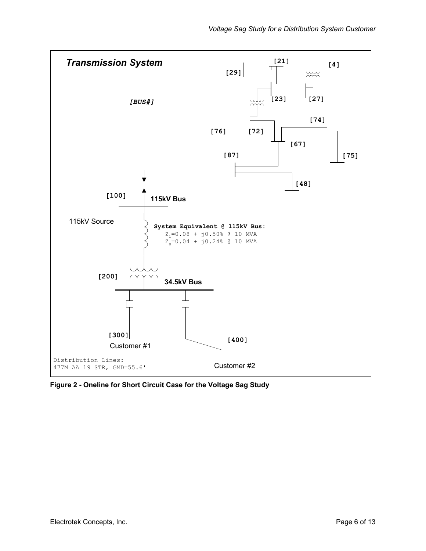<span id="page-5-1"></span><span id="page-5-0"></span>

**Figure 2 - Oneline for Short Circuit Case for the Voltage Sag Study**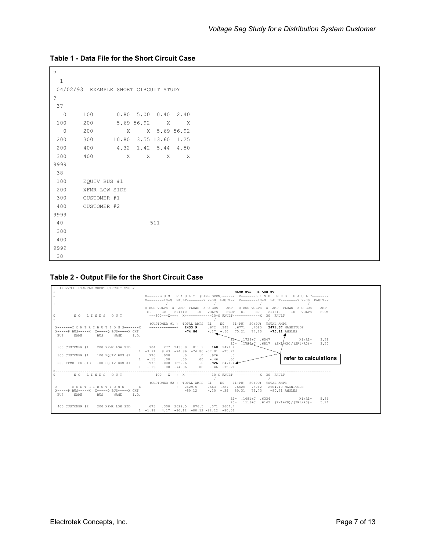```
? 
  1 
 04/02/93 EXAMPLE SHORT CIRCUIT STUDY 
? 
 37 
  0 100 0.80 5.00 0.40 2.40 
 100 200 5.69 56.92 X X 
 0 200 X X 5.69 56.92
 200 300 10.80 3.55 13.60 11.25 
 200 400 4.32 1.42 5.44 4.50 
 300 400 X X X X 
9999 
 38 
 100 EQUIV BUS #1 
 200 XFMR LOW SIDE 
 300 CUSTOMER #1 
 400 CUSTOMER #2 
9999 
 40 511 
 300 
 400 
9999 
 30
```
#### <span id="page-6-1"></span><span id="page-6-0"></span>**Table 1 - Data File for the Short Circuit Case**

#### <span id="page-6-2"></span>**Table 2 - Output File for the Short Circuit Case**

| 1 04/02/93 EXAMPLE SHORT CIRCUIT STUDY       |                                                                                                 |
|----------------------------------------------|-------------------------------------------------------------------------------------------------|
|                                              | BASE KV= 34.500 KV                                                                              |
|                                              | X------BUS FAULT (LINE OPEN)-----X X--------LINE END FAULT--------X                             |
|                                              | X--------10-G FAULT--------X X-30 FAULT-X X--------10-G FAULT--------X X-30 FAULT-X             |
|                                              |                                                                                                 |
|                                              | O BUS VOLTS X--AMP FLOWS--X O BUS<br>AMP<br>Q BUS VOLTS X--AMP FLOWS--X Q BUS<br>AMP            |
|                                              | E0<br>$2I1+I0$<br>T O<br>FLOW<br>E.O.<br>$211+10$<br>VOLTS<br>- E1<br>IO VOLTS<br>FLOW<br>E1.   |
| $^{\circ}$<br>NO LINES OUT                   | +--300---X---+ X-------------10-G FAULT-------------------<br>30 FAULT                          |
| $+$                                          |                                                                                                 |
|                                              | E0.<br>(CUSTOMER #1)<br>TOTAL AMPS<br>E1 a<br>Z1 (PU)<br>Z0 (PU)<br>TOTAL AMPS                  |
| X------- C O N T R T B U T T O N S--------X  | $.672$ $.343$<br>$+$ -------------+ 2433.9<br>.6771<br>.7085<br><b>2471.37 MAGNITUDE</b>        |
| X------ BUS------ X X----- O BUS------ X CKT | $-74.86$<br>$-.17 - .66$<br>75.21<br>74.20<br>$-75.21$ ANGLES                                   |
| <b>BUS</b><br>NAME<br>BUS<br>NAME<br>I.D.    | .1729+J .6547                                                                                   |
|                                              | $X1/R1=$<br>3.79<br>$.1929 \pm J$ .6817 (2X1 $/$ K0)/(2R1/R0)= 3.70<br>$7.0 =$                  |
| 300 CUSTOMER #1<br>200 XFMR LOW SID          | $.277$ 2433.9<br>.704<br>811.3<br>$.168$ 2471.4                                                 |
|                                              | $9.43 - 74.86$<br>$1 - 3.91$<br>$-74.86 - 57.01 - 75.21$                                        |
| 300 CUSTOMER #1<br>100 EQUIV BUS #1          | .976<br>.000<br>.926<br>$\cdot$ 0<br>.0<br>$\cdot$ 0                                            |
|                                              | refer to calculations<br>$1 - .15$<br>.00<br>$.00 -$<br>$-.46$<br>.00<br>.00                    |
| 200 XFMR LOW SID 100 EQUIV BUS #1            | .000 1622.6<br>$.926$ 2471.4<br>.976<br>$\sim$ 0                                                |
|                                              | $1 - .15$<br>$.00 - 74.86$<br>$-.46 - 75.21$<br>.00                                             |
|                                              |                                                                                                 |
| $\Omega$<br>NO LINES OUT                     | +--400---X---+ X-------------10-G FAULT----------------- 30 FAULT                               |
|                                              |                                                                                                 |
|                                              | (CUSTOMER #2)<br>TOTAL AMPS El<br>E0.<br>Z1 (PU)<br>TOTAL AMPS<br>Z0 (PU)                       |
| X-------C O N T R T B U T T O N S--------X   | $.663$ $.327$<br>$+$ ------------+ 2629.5<br>.6426<br>.6242<br>2604.40 MAGNITUDE                |
| X-----P BUS-----X X-----0 BUS-----X CKT      | $-.10-.39$<br>$-80.12$<br>80.31<br>79.73<br>$-80.31$ ANGLES                                     |
| NAME<br><b>BUS</b><br>BUS<br>NAME<br>I.D.    |                                                                                                 |
|                                              | $Z1 = .1081 + J .6334$<br>$X1/R1 = 5.86$<br>.1113+J .6142 (2X1+X0)/(2R1/R0)=<br>5.74<br>$7.0 =$ |
| 400 CUSTOMER #2<br>200 XFMR LOW SID          | .675<br>.300 2629.5<br>876.5 .071 2604.4                                                        |
|                                              | $1 - 1.88$<br>$4.17 -80.12 -80.12 -62.12 -80.31$                                                |
|                                              |                                                                                                 |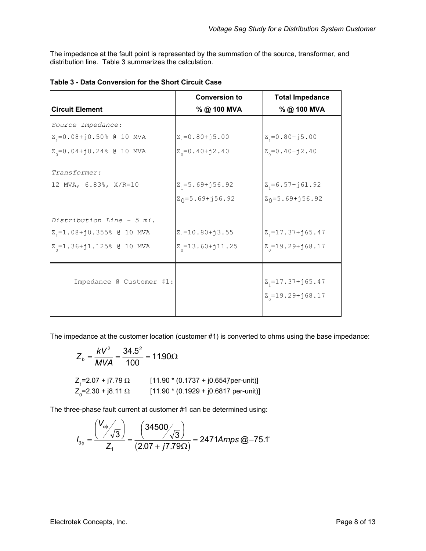<span id="page-7-0"></span>The impedance at the fault point is represented by the summation of the source, transformer, and distribution line. [Table 3](#page-7-1) summarizes the calculation.

|                                    | <b>Conversion to</b>     | <b>Total Impedance</b>   |
|------------------------------------|--------------------------|--------------------------|
| <b>Circuit Element</b>             | %@100 MVA                | %@ 100 MVA               |
| Source Impedance:                  |                          |                          |
| $Z_i = 0.08 + j0.50$ % @ 10 MVA    | $Z_i = 0.80 + j5.00$     | $Z_1 = 0.80 + j5.00$     |
| $Z_0 = 0.04 + j0.24$ % @ 10 MVA    | $Z_{0} = 0.40 + j2.40$   | $Z_{0} = 0.40 + j2.40$   |
| Transformer:                       |                          |                          |
| 12 MVA, 6.83%, X/R=10              | $Z_i = 5.69 + j56.92$    | $Z_i = 6.57 + j61.92$    |
|                                    | $Z_0 = 5.69 + j56.92$    | $Z_0 = 5.69 + j56.92$    |
| Distribution Line - 5 mi.          |                          |                          |
| $Z_1 = 1.08 + j0.355$ @ 10 MVA     | $Z_1 = 10.80 + j3.55$    | $Z_{1} = 17.37 + j65.47$ |
| $Z_{0} = 1.36 + j1.125$ % @ 10 MVA | $Z_{0} = 13.60 + j11.25$ | $Z_{0} = 19.29 + j68.17$ |
|                                    |                          |                          |
| Impedance @ Customer #1:           |                          | $Z_{1} = 17.37 + j65.47$ |
|                                    |                          | $Z_{0} = 19.29 + j68.17$ |

<span id="page-7-1"></span>**Table 3 - Data Conversion for the Short Circuit Case** 

The impedance at the customer location (customer #1) is converted to ohms using the base impedance:

$$
Z_b = \frac{kV^2}{MVA} = \frac{34.5^2}{100} = 11.90\Omega
$$
  
\n
$$
Z_1 = 2.07 + j7.79 \Omega
$$
 [11.90 \* (0.1737 + j0.6547per-unit)]  
\n
$$
Z_0 = 2.30 + j8.11 \Omega
$$
 [11.90 \* (0.1929 + j0.6817 per-unit)]

The three-phase fault current at customer #1 can be determined using:

$$
I_{3\phi} = \frac{\left(\frac{V_{\phi\phi}}{\sqrt{3}}\right)}{Z_1} = \frac{\left(34500\sqrt{3}\right)}{\left(2.07 + j7.79\Omega\right)} = 2471 \text{A} m \text{ps} \text{ @--75.1}^{\circ}
$$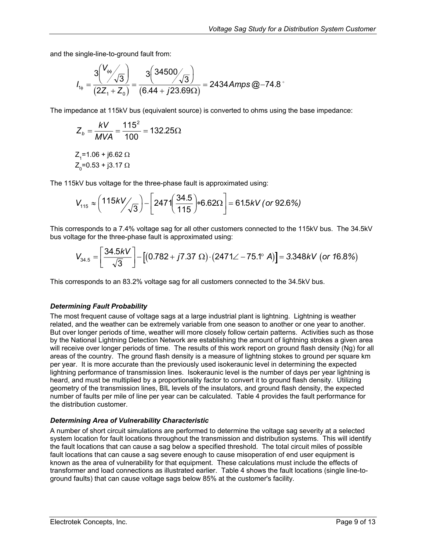<span id="page-8-0"></span>and the single-line-to-ground fault from:

$$
I_{1\phi} = \frac{3\left(\frac{V_{\phi\phi}}{\sqrt{3}}\right)}{(2Z_1 + Z_0)} = \frac{3\left(34500\sqrt{3}\right)}{(6.44 + j23.69\Omega)} = 2434 \text{ Amps} \textcircled{2} - 74.8^{\circ}
$$

The impedance at 115kV bus (equivalent source) is converted to ohms using the base impedance:

$$
Z_b = \frac{kV}{MVA} = \frac{115^2}{100} = 132.25\Omega
$$

$$
Z_{1} = 1.06 + j6.62 \Omega
$$

$$
Z_{0} = 0.53 + j3.17 \Omega
$$

The 115kV bus voltage for the three-phase fault is approximated using:

$$
V_{115} \approx \left( \frac{115kV}{\sqrt{3}} \right) - \left[ 247 \left( \frac{34.5}{115} \right) * 6.62 \Omega \right] = 61.5kV \text{ (or 92.6%)}
$$

This corresponds to a 7.4% voltage sag for all other customers connected to the 115kV bus. The 34.5kV bus voltage for the three-phase fault is approximated using:

$$
V_{34.5} = \left[\frac{34.5kV}{\sqrt{3}}\right] - \left[(0.782 + j7.37 \ \Omega) \cdot (2471\angle -75.1^{\circ} \ A)\right] = 3.348kV \ (or \ 16.8\%)
$$

This corresponds to an 83.2% voltage sag for all customers connected to the 34.5kV bus.

#### *Determining Fault Probability*

The most frequent cause of voltage sags at a large industrial plant is lightning. Lightning is weather related, and the weather can be extremely variable from one season to another or one year to another. But over longer periods of time, weather will more closely follow certain patterns. Activities such as those by the National Lightning Detection Network are establishing the amount of lightning strokes a given area will receive over longer periods of time. The results of this work report on ground flash density (Ng) for all areas of the country. The ground flash density is a measure of lightning stokes to ground per square km per year. It is more accurate than the previously used isokeraunic level in determining the expected lightning performance of transmission lines. Isokeraunic level is the number of days per year lightning is heard, and must be multiplied by a proportionality factor to convert it to ground flash density. Utilizing geometry of the transmission lines, BIL levels of the insulators, and ground flash density, the expected number of faults per mile of line per year can be calculated. [Table 4](#page-9-1) provides the fault performance for the distribution customer.

#### *Determining Area of Vulnerability Characteristic*

A number of short circuit simulations are performed to determine the voltage sag severity at a selected system location for fault locations throughout the transmission and distribution systems. This will identify the fault locations that can cause a sag below a specified threshold. The total circuit miles of possible fault locations that can cause a sag severe enough to cause misoperation of end user equipment is known as the area of vulnerability for that equipment. These calculations must include the effects of transformer and load connections as illustrated earlier. [Table 4](#page-9-1) shows the fault locations (single line-toground faults) that can cause voltage sags below 85% at the customer's facility.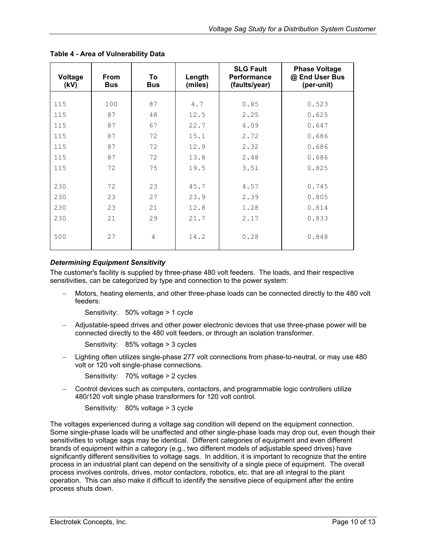| Voltage<br>(kV) | <b>From</b><br><b>Bus</b> | To<br><b>Bus</b> | Length<br>(miles) | <b>SLG Fault</b><br><b>Performance</b><br>(faults/year) | <b>Phase Voltage</b><br>@ End User Bus<br>(per-unit) |
|-----------------|---------------------------|------------------|-------------------|---------------------------------------------------------|------------------------------------------------------|
|                 |                           |                  |                   |                                                         |                                                      |
| 115             | 100                       | 87               | 4.7               | 0.85                                                    | 0.523                                                |
| 115             | 87                        | 48               | 12.5              | 2.25                                                    | 0.625                                                |
| 115             | 87                        | 67               | 22.7              | 4.09                                                    | 0.647                                                |
| 115             | 87                        | 72               | 15.1              | 2.72                                                    | 0.686                                                |
| 115             | 87                        | 72               | 12.9              | 2.32                                                    | 0.686                                                |
| 115             | 87                        | 72               | 13.8              | 2.48                                                    | 0.686                                                |
| 115             | 72                        | 75               | 19.5              | 3.51                                                    | 0.825                                                |
|                 |                           |                  |                   |                                                         |                                                      |
| 230             | 72                        | 23               | 45.7              | 4.57                                                    | 0.745                                                |
| 230             | 23                        | 27               | 23.9              | 2.39                                                    | 0.805                                                |
| 230             | 23                        | 21               | 12.8              | 1.28                                                    | 0.814                                                |
| 230             | 21                        | 29               | 21.7              | 2.17                                                    | 0.833                                                |
| 500             | 27                        | $\overline{4}$   | 14.2              | 0.28                                                    | 0.848                                                |

<span id="page-9-1"></span><span id="page-9-0"></span>**Table 4 - Area of Vulnerability Data** 

#### *Determining Equipment Sensitivity*

The customer's facility is supplied by three-phase 480 volt feeders. The loads, and their respective sensitivities, can be categorized by type and connection to the power system:

− Motors, heating elements, and other three-phase loads can be connected directly to the 480 volt feeders:

Sensitivity: 50% voltage > 1 cycle

− Adjustable-speed drives and other power electronic devices that use three-phase power will be connected directly to the 480 volt feeders, or through an isolation transformer.

Sensitivity: 85% voltage > 3 cycles

− Lighting often utilizes single-phase 277 volt connections from phase-to-neutral, or may use 480 volt or 120 volt single-phase connections.

Sensitivity: 70% voltage > 2 cycles

− Control devices such as computers, contactors, and programmable logic controllers utilize 480/120 volt single phase transformers for 120 volt control.

Sensitivity: 80% voltage > 3 cycle

The voltages experienced during a voltage sag condition will depend on the equipment connection. Some single-phase loads will be unaffected and other single-phase loads may drop out, even though their sensitivities to voltage sags may be identical. Different categories of equipment and even different brands of equipment within a category (e.g., two different models of adjustable speed drives) have significantly different sensitivities to voltage sags. In addition, it is important to recognize that the entire process in an industrial plant can depend on the sensitivity of a single piece of equipment. The overall process involves controls, drives, motor contactors, robotics, etc. that are all integral to the plant operation. This can also make it difficult to identify the sensitive piece of equipment after the entire process shuts down.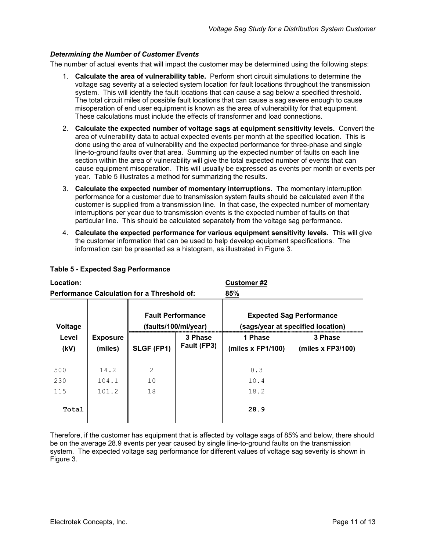#### <span id="page-10-0"></span>*Determining the Number of Customer Events*

The number of actual events that will impact the customer may be determined using the following steps:

- 1. **Calculate the area of vulnerability table.** Perform short circuit simulations to determine the voltage sag severity at a selected system location for fault locations throughout the transmission system. This will identify the fault locations that can cause a sag below a specified threshold. The total circuit miles of possible fault locations that can cause a sag severe enough to cause misoperation of end user equipment is known as the area of vulnerability for that equipment. These calculations must include the effects of transformer and load connections.
- 2. **Calculate the expected number of voltage sags at equipment sensitivity levels.** Convert the area of vulnerability data to actual expected events per month at the specified location. This is done using the area of vulnerability and the expected performance for three-phase and single line-to-ground faults over that area. Summing up the expected number of faults on each line section within the area of vulnerability will give the total expected number of events that can cause equipment misoperation. This will usually be expressed as events per month or events per year. [Table](#page-10-1) 5 illustrates a method for summarizing the results.
- 3. **Calculate the expected number of momentary interruptions.** The momentary interruption performance for a customer due to transmission system faults should be calculated even if the customer is supplied from a transmission line. In that case, the expected number of momentary interruptions per year due to transmission events is the expected number of faults on that particular line. This should be calculated separately from the voltage sag performance.
- 4. **Calculate the expected performance for various equipment sensitivity levels.** This will give the customer information that can be used to help develop equipment specifications. The information can be presented as a histogram, as illustrated in [Figure 3.](#page-11-1)

|                                                    |                 |                                                  |             | .                                                                    |                     |
|----------------------------------------------------|-----------------|--------------------------------------------------|-------------|----------------------------------------------------------------------|---------------------|
| <b>Performance Calculation for a Threshold of:</b> |                 |                                                  |             | 85%                                                                  |                     |
| Voltage                                            |                 | <b>Fault Performance</b><br>(faults/100/mi/year) |             | <b>Expected Sag Performance</b><br>(sags/year at specified location) |                     |
| Level                                              | <b>Exposure</b> |                                                  | 3 Phase     | 1 Phase                                                              | 3 Phase             |
| (kV)                                               | (miles)         | SLGF (FP1)                                       | Fault (FP3) | (miles x FP1/100)                                                    | (miles $x$ FP3/100) |
|                                                    |                 |                                                  |             |                                                                      |                     |
| 500                                                | 14.2            | $\overline{2}$                                   |             | 0.3                                                                  |                     |
| 230                                                | 104.1           | 10                                               |             | 10.4                                                                 |                     |
| 115                                                | 101.2           | 18                                               |             | 18.2                                                                 |                     |
| Total                                              |                 |                                                  |             | 28.9                                                                 |                     |

#### <span id="page-10-1"></span>**Table 5 - Expected Sag Performance**

**Location: Customer #2**

Therefore, if the customer has equipment that is affected by voltage sags of 85% and below, there should be on the average 28.9 events per year caused by single line-to-ground faults on the transmission system. The expected voltage sag performance for different values of voltage sag severity is shown in [Figure](#page-11-1) 3.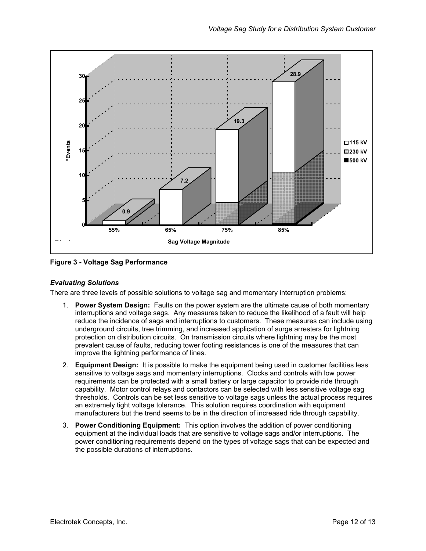<span id="page-11-1"></span><span id="page-11-0"></span>

**Figure 3 - Voltage Sag Performance** 

#### *Evaluating Solutions*

There are three levels of possible solutions to voltage sag and momentary interruption problems:

- 1. **Power System Design:** Faults on the power system are the ultimate cause of both momentary interruptions and voltage sags. Any measures taken to reduce the likelihood of a fault will help reduce the incidence of sags and interruptions to customers. These measures can include using underground circuits, tree trimming, and increased application of surge arresters for lightning protection on distribution circuits. On transmission circuits where lightning may be the most prevalent cause of faults, reducing tower footing resistances is one of the measures that can improve the lightning performance of lines.
- 2. **Equipment Design:** It is possible to make the equipment being used in customer facilities less sensitive to voltage sags and momentary interruptions. Clocks and controls with low power requirements can be protected with a small battery or large capacitor to provide ride through capability. Motor control relays and contactors can be selected with less sensitive voltage sag thresholds. Controls can be set less sensitive to voltage sags unless the actual process requires an extremely tight voltage tolerance. This solution requires coordination with equipment manufacturers but the trend seems to be in the direction of increased ride through capability.
- 3. **Power Conditioning Equipment:** This option involves the addition of power conditioning equipment at the individual loads that are sensitive to voltage sags and/or interruptions. The power conditioning requirements depend on the types of voltage sags that can be expected and the possible durations of interruptions.